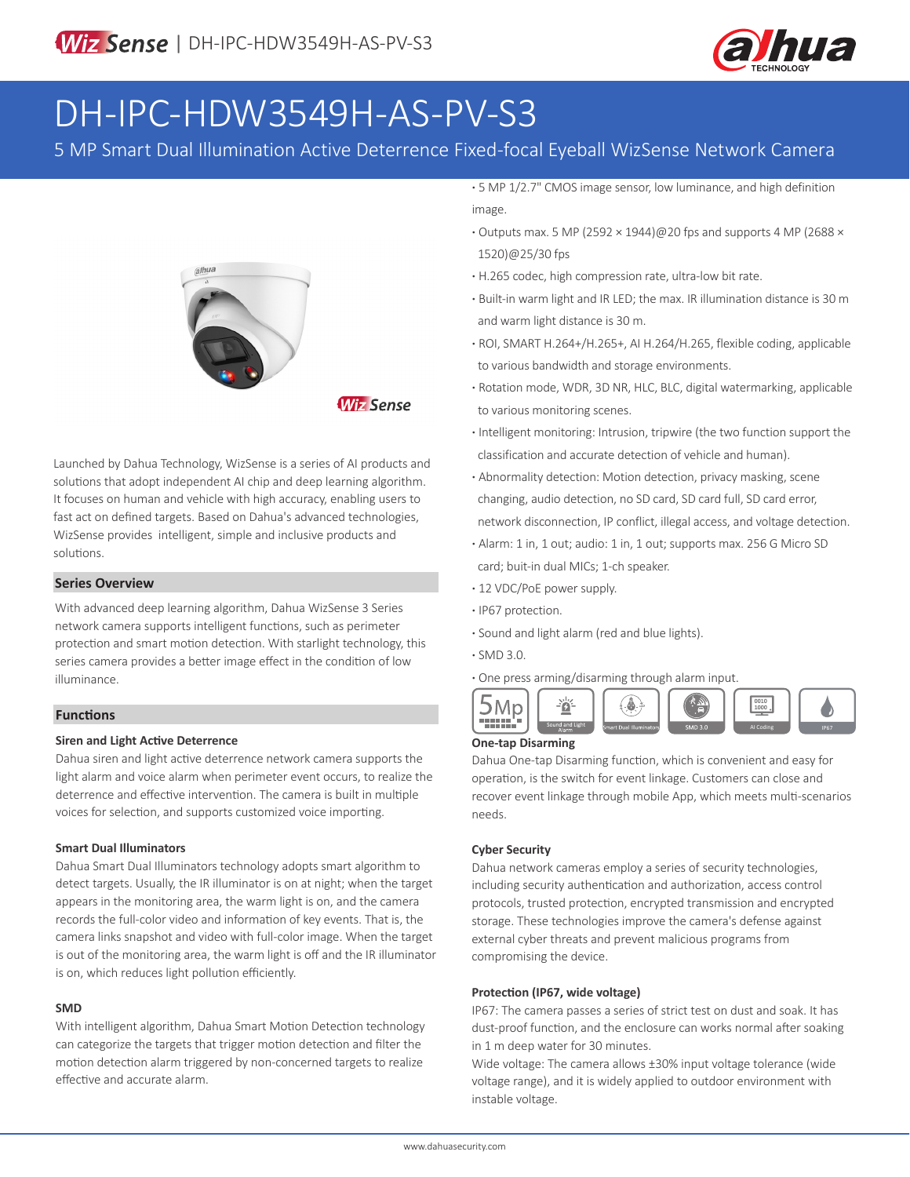

# DH-IPC-HDW3549H-AS-PV-S3

5 MP Smart Dual Illumination Active Deterrence Fixed-focal Eyeball WizSense Network Camera



**Wiz Sense** 

Launched by Dahua Technology, WizSense is a series of AI products and solutions that adopt independent AI chip and deep learning algorithm. It focuses on human and vehicle with high accuracy, enabling users to fast act on defined targets. Based on Dahua's advanced technologies, WizSense provides intelligent, simple and inclusive products and solutions.

#### **Series Overview**

With advanced deep learning algorithm, Dahua WizSense 3 Series network camera supports intelligent functions, such as perimeter protection and smart motion detection. With starlight technology, this series camera provides a better image effect in the condition of low illuminance.

### **Functions**

#### **Siren and Light Active Deterrence**

Dahua siren and light active deterrence network camera supports the light alarm and voice alarm when perimeter event occurs, to realize the deterrence and effective intervention. The camera is built in multiple voices for selection, and supports customized voice importing.

#### **Smart Dual Illuminators**

Dahua Smart Dual Illuminators technology adopts smart algorithm to detect targets. Usually, the IR illuminator is on at night; when the target appears in the monitoring area, the warm light is on, and the camera records the full-color video and information of key events. That is, the camera links snapshot and video with full-color image. When the target is out of the monitoring area, the warm light is off and the IR illuminator is on, which reduces light pollution efficiently.

### **SMD**

With intelligent algorithm, Dahua Smart Motion Detection technology can categorize the targets that trigger motion detection and filter the motion detection alarm triggered by non-concerned targets to realize effective and accurate alarm.

**·** 5 MP 1/2.7" CMOS image sensor, low luminance, and high definition image.

- **·** Outputs max. 5 MP (2592 × 1944)@20 fps and supports 4 MP (2688 × 1520)@25/30 fps
- **·** H.265 codec, high compression rate, ultra-low bit rate.
- **·** Built-in warm light and IR LED; the max. IR illumination distance is 30 m and warm light distance is 30 m.
- **·** ROI, SMART H.264+/H.265+, AI H.264/H.265, flexible coding, applicable to various bandwidth and storage environments.
- **·** Rotation mode, WDR, 3D NR, HLC, BLC, digital watermarking, applicable to various monitoring scenes.
- **·** Intelligent monitoring: Intrusion, tripwire (the two function support the classification and accurate detection of vehicle and human).
- **·** Abnormality detection: Motion detection, privacy masking, scene changing, audio detection, no SD card, SD card full, SD card error, network disconnection, IP conflict, illegal access, and voltage detection.
- **·** Alarm: 1 in, 1 out; audio: 1 in, 1 out; supports max. 256 G Micro SD card; buit-in dual MICs; 1-ch speaker.
- **·** 12 VDC/PoE power supply.
- **·** IP67 protection.
- **·** Sound and light alarm (red and blue lights).
- **·** SMD 3.0.
- **·** One press arming/disarming through alarm input.



#### **One-tap Disarming**

Dahua One-tap Disarming function, which is convenient and easy for operation, is the switch for event linkage. Customers can close and recover event linkage through mobile App, which meets multi-scenarios needs.

#### **Cyber Security**

Dahua network cameras employ a series of security technologies, including security authentication and authorization, access control protocols, trusted protection, encrypted transmission and encrypted storage. These technologies improve the camera's defense against external cyber threats and prevent malicious programs from compromising the device.

#### **Protection (IP67, wide voltage)**

IP67: The camera passes a series of strict test on dust and soak. It has dust-proof function, and the enclosure can works normal after soaking in 1 m deep water for 30 minutes.

Wide voltage: The camera allows ±30% input voltage tolerance (wide voltage range), and it is widely applied to outdoor environment with instable voltage.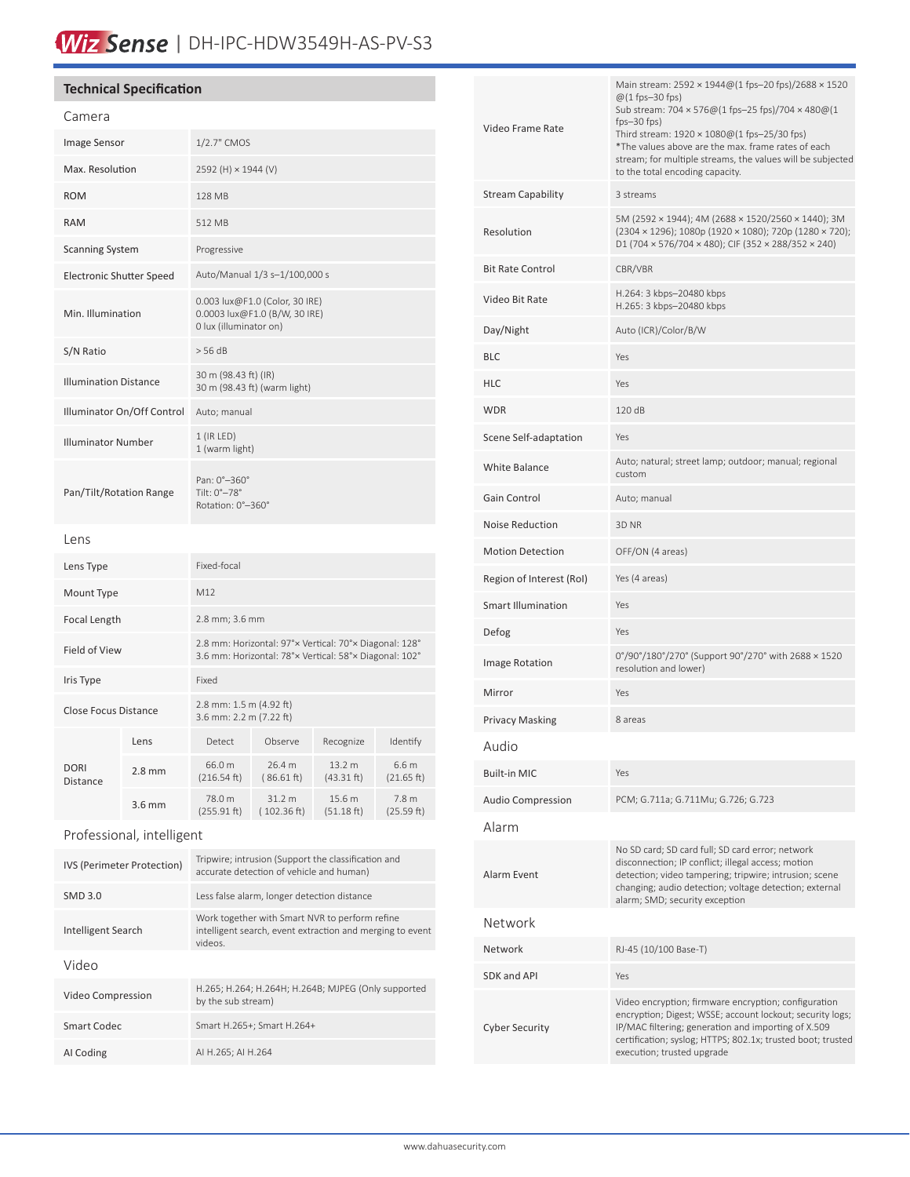# Wiz Sense | DH-IPC-HDW3549H-AS-PV-S3

Smart Codec Smart H.265+; Smart H.264+

AI Coding AI H.265; AI H.264

| <b>Technical Specification</b>    |                           |                                                                                                                        |                       |                      |                     |  |                           | Main stream: 2592 × 1944@ (1 fps-20 fps)/2688 × 1520<br>$@(1$ fps-30 fps)                                                                                                                          |
|-----------------------------------|---------------------------|------------------------------------------------------------------------------------------------------------------------|-----------------------|----------------------|---------------------|--|---------------------------|----------------------------------------------------------------------------------------------------------------------------------------------------------------------------------------------------|
| Camera                            |                           |                                                                                                                        |                       |                      |                     |  |                           | Sub stream: 704 x 576@(1 fps-25 fps)/704 x 480@(1<br>$fps-30$ $fps$ )                                                                                                                              |
| Image Sensor                      |                           | 1/2.7" CMOS                                                                                                            |                       |                      |                     |  | Video Frame Rate          | Third stream: 1920 × 1080@(1 fps-25/30 fps)<br>*The values above are the max. frame rates of each<br>stream; for multiple streams, the values will be subjected<br>to the total encoding capacity. |
| Max. Resolution                   |                           | 2592 (H) × 1944 (V)                                                                                                    |                       |                      |                     |  |                           |                                                                                                                                                                                                    |
| <b>ROM</b>                        |                           | 128 MB                                                                                                                 |                       |                      |                     |  | <b>Stream Capability</b>  | 3 streams                                                                                                                                                                                          |
| <b>RAM</b>                        |                           | 512 MB                                                                                                                 |                       |                      |                     |  | Resolution                | 5M (2592 × 1944); 4M (2688 × 1520/2560 × 1440); 3M<br>(2304 × 1296); 1080p (1920 × 1080); 720p (1280 × 720);<br>D1 (704 x 576/704 x 480); CIF (352 x 288/352 x 240)                                |
| <b>Scanning System</b>            |                           | Progressive                                                                                                            |                       |                      |                     |  |                           |                                                                                                                                                                                                    |
| <b>Electronic Shutter Speed</b>   |                           | Auto/Manual 1/3 s-1/100,000 s                                                                                          |                       |                      |                     |  | <b>Bit Rate Control</b>   | CBR/VBR                                                                                                                                                                                            |
| Min. Illumination                 |                           | 0.003 lux@F1.0 (Color, 30 IRE)<br>0.0003 lux@F1.0 (B/W, 30 IRE)                                                        |                       |                      |                     |  | Video Bit Rate            | H.264: 3 kbps-20480 kbps<br>H.265: 3 kbps-20480 kbps                                                                                                                                               |
|                                   |                           | 0 lux (illuminator on)                                                                                                 |                       |                      |                     |  | Day/Night                 | Auto (ICR)/Color/B/W                                                                                                                                                                               |
| S/N Ratio                         |                           | $>$ 56 dB                                                                                                              |                       |                      |                     |  | <b>BLC</b>                | Yes                                                                                                                                                                                                |
| <b>Illumination Distance</b>      |                           | 30 m (98.43 ft) (IR)<br>30 m (98.43 ft) (warm light)                                                                   |                       |                      |                     |  | <b>HLC</b>                | Yes                                                                                                                                                                                                |
| Illuminator On/Off Control        |                           | Auto; manual                                                                                                           |                       |                      |                     |  | <b>WDR</b>                | 120dB                                                                                                                                                                                              |
| <b>Illuminator Number</b>         |                           | $1$ (IR LED)<br>1 (warm light)                                                                                         |                       |                      |                     |  | Scene Self-adaptation     | Yes                                                                                                                                                                                                |
| Pan/Tilt/Rotation Range           |                           | Pan: 0°-360°<br>Tilt: 0°-78°<br>Rotation: 0°-360°                                                                      |                       |                      |                     |  | <b>White Balance</b>      | Auto; natural; street lamp; outdoor; manual; regional<br>custom                                                                                                                                    |
|                                   |                           |                                                                                                                        |                       |                      |                     |  | Gain Control              | Auto; manual                                                                                                                                                                                       |
|                                   |                           |                                                                                                                        |                       |                      |                     |  | Noise Reduction           | 3D NR                                                                                                                                                                                              |
| Lens                              |                           |                                                                                                                        |                       |                      |                     |  | <b>Motion Detection</b>   | OFF/ON (4 areas)                                                                                                                                                                                   |
| Lens Type                         |                           | Fixed-focal                                                                                                            |                       |                      |                     |  | Region of Interest (RoI)  | Yes (4 areas)                                                                                                                                                                                      |
| Mount Type                        |                           | M12                                                                                                                    |                       |                      |                     |  | <b>Smart Illumination</b> | Yes                                                                                                                                                                                                |
| Focal Length                      |                           | 2.8 mm; 3.6 mm                                                                                                         |                       |                      |                     |  | Defog                     | Yes                                                                                                                                                                                                |
| Field of View                     |                           | 2.8 mm: Horizontal: 97°× Vertical: 70°× Diagonal: 128°<br>3.6 mm: Horizontal: 78° x Vertical: 58° x Diagonal: 102°     |                       |                      |                     |  | Image Rotation            | 0°/90°/180°/270° (Support 90°/270° with 2688 × 1520<br>resolution and lower)                                                                                                                       |
| Iris Type                         |                           | Fixed                                                                                                                  |                       |                      |                     |  | Mirror                    | Yes                                                                                                                                                                                                |
| Close Focus Distance              |                           | 2.8 mm: $1.5$ m (4.92 ft)<br>3.6 mm: 2.2 m (7.22 ft)                                                                   |                       |                      |                     |  | <b>Privacy Masking</b>    | 8 areas                                                                                                                                                                                            |
| <b>DORI</b><br>Distance           | Lens                      | Detect                                                                                                                 | Observe               | Recognize            | Identify            |  | Audio                     |                                                                                                                                                                                                    |
|                                   | $2.8$ mm                  | 66.0 m<br>(216.54 ft)                                                                                                  | 26.4 m<br>(86.61 ft)  | 13.2 m<br>(43.31 ft) | 6.6 m<br>(21.65 ft) |  | <b>Built-in MIC</b>       | Yes                                                                                                                                                                                                |
|                                   | $3.6$ mm                  | 78.0 m<br>(255.91 ft)                                                                                                  | 31.2 m<br>(102.36 ft) | 15.6 m<br>(51.18 ft) | 7.8 m<br>(25.59 ft) |  | Audio Compression         | PCM; G.711a; G.711Mu; G.726; G.723                                                                                                                                                                 |
|                                   | Professional, intelligent |                                                                                                                        |                       |                      |                     |  | Alarm                     |                                                                                                                                                                                                    |
| <b>IVS (Perimeter Protection)</b> |                           | Tripwire; intrusion (Support the classification and<br>accurate detection of vehicle and human)                        |                       |                      |                     |  | Alarm Event               | No SD card; SD card full; SD card error; network<br>disconnection; IP conflict; illegal access; motion<br>detection; video tampering; tripwire; intrusion; scene                                   |
| <b>SMD 3.0</b>                    |                           | Less false alarm, longer detection distance                                                                            |                       |                      |                     |  |                           | changing; audio detection; voltage detection; external<br>alarm; SMD; security exception                                                                                                           |
| Intelligent Search                |                           | Work together with Smart NVR to perform refine<br>intelligent search, event extraction and merging to event<br>videos. |                       |                      |                     |  | Network                   |                                                                                                                                                                                                    |
|                                   |                           |                                                                                                                        |                       |                      |                     |  | Network                   | RJ-45 (10/100 Base-T)                                                                                                                                                                              |
| Video                             |                           |                                                                                                                        |                       |                      |                     |  | SDK and API               | Yes                                                                                                                                                                                                |
| Video Compression                 |                           | H.265; H.264; H.264H; H.264B; MJPEG (Only supported<br>by the sub stream)                                              |                       |                      |                     |  |                           | Video encryption; firmware encryption; configuration                                                                                                                                               |

Video encryption; firmware encryption; configuration encryption; Digest; WSSE; account lockout; security logs; IP/MAC filtering; generation and importing of X.509 certification; syslog; HTTPS; 802.1x; trusted boot; trusted execution; trusted upgrade

Cyber Security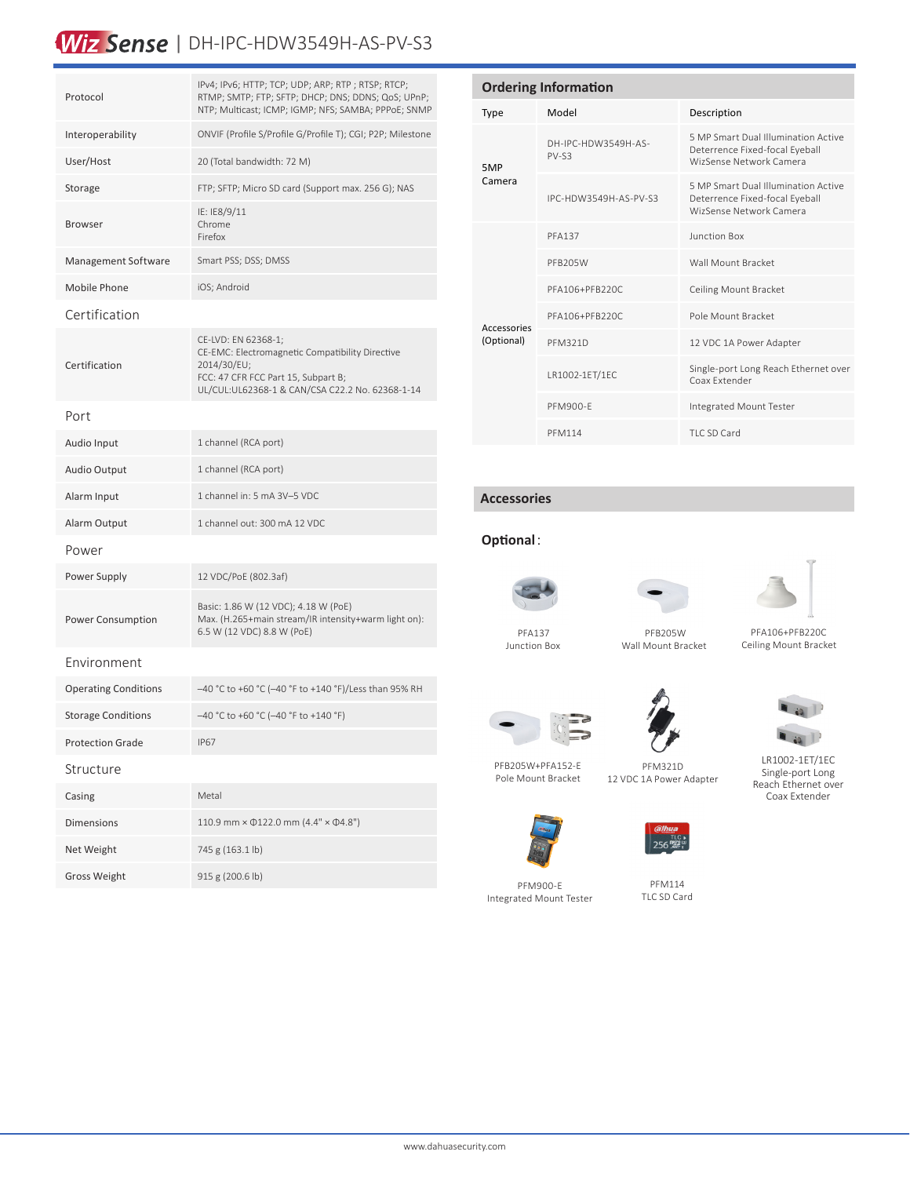# Wiz Sense | DH-IPC-HDW3549H-AS-PV-S3

| Protocol                    | IPv4; IPv6; HTTP; TCP; UDP; ARP; RTP; RTSP; RTCP;<br>RTMP; SMTP; FTP; SFTP; DHCP; DNS; DDNS; QoS; UPnP;<br>NTP; Multicast; ICMP; IGMP; NFS; SAMBA; PPPoE; SNMP                  |  |  |  |  |  |
|-----------------------------|---------------------------------------------------------------------------------------------------------------------------------------------------------------------------------|--|--|--|--|--|
| Interoperability            | ONVIF (Profile S/Profile G/Profile T); CGI; P2P; Milestone                                                                                                                      |  |  |  |  |  |
| User/Host                   | 20 (Total bandwidth: 72 M)                                                                                                                                                      |  |  |  |  |  |
| Storage                     | FTP; SFTP; Micro SD card (Support max. 256 G); NAS                                                                                                                              |  |  |  |  |  |
| <b>Browser</b>              | IE: IE8/9/11<br>Chrome<br>Firefox                                                                                                                                               |  |  |  |  |  |
| Management Software         | Smart PSS; DSS; DMSS                                                                                                                                                            |  |  |  |  |  |
| Mobile Phone                | iOS; Android                                                                                                                                                                    |  |  |  |  |  |
| Certification               |                                                                                                                                                                                 |  |  |  |  |  |
| Certification               | CE-LVD: EN 62368-1;<br>CE-EMC: Electromagnetic Compatibility Directive<br>2014/30/EU;<br>FCC: 47 CFR FCC Part 15, Subpart B;<br>UL/CUL:UL62368-1 & CAN/CSA C22.2 No. 62368-1-14 |  |  |  |  |  |
| Port                        |                                                                                                                                                                                 |  |  |  |  |  |
| Audio Input                 | 1 channel (RCA port)                                                                                                                                                            |  |  |  |  |  |
| Audio Output                | 1 channel (RCA port)                                                                                                                                                            |  |  |  |  |  |
| Alarm Input                 | 1 channel in: 5 mA 3V-5 VDC                                                                                                                                                     |  |  |  |  |  |
| Alarm Output                | 1 channel out: 300 mA 12 VDC                                                                                                                                                    |  |  |  |  |  |
| Power                       |                                                                                                                                                                                 |  |  |  |  |  |
| Power Supply                | 12 VDC/PoE (802.3af)                                                                                                                                                            |  |  |  |  |  |
| Power Consumption           | Basic: 1.86 W (12 VDC); 4.18 W (PoE)<br>Max. (H.265+main stream/IR intensity+warm light on):<br>6.5 W (12 VDC) 8.8 W (PoE)                                                      |  |  |  |  |  |
| Environment                 |                                                                                                                                                                                 |  |  |  |  |  |
| <b>Operating Conditions</b> | -40 °C to +60 °C (-40 °F to +140 °F)/Less than 95% RH                                                                                                                           |  |  |  |  |  |
| <b>Storage Conditions</b>   | $-40$ °C to +60 °C (-40 °F to +140 °F)                                                                                                                                          |  |  |  |  |  |
| <b>Protection Grade</b>     | <b>IP67</b>                                                                                                                                                                     |  |  |  |  |  |
| Structure                   |                                                                                                                                                                                 |  |  |  |  |  |
| Casing                      | Metal                                                                                                                                                                           |  |  |  |  |  |
| <b>Dimensions</b>           | 110.9 mm $\times$ $\Phi$ 122.0 mm (4.4" $\times$ $\Phi$ 4.8")                                                                                                                   |  |  |  |  |  |
| Net Weight                  | 745 g (163.1 lb)                                                                                                                                                                |  |  |  |  |  |
| <b>Gross Weight</b>         | 915 g (200.6 lb)                                                                                                                                                                |  |  |  |  |  |

| <b>Ordering Information</b> |                                |                                                                                                  |  |  |  |  |  |
|-----------------------------|--------------------------------|--------------------------------------------------------------------------------------------------|--|--|--|--|--|
| Type                        | Model                          | Description                                                                                      |  |  |  |  |  |
| 5MP                         | DH-IPC-HDW3549H-AS-<br>$PV-S3$ | 5 MP Smart Dual Illumination Active<br>Deterrence Fixed-focal Eyeball<br>WizSense Network Camera |  |  |  |  |  |
| Camera                      | IPC-HDW3549H-AS-PV-S3          | 5 MP Smart Dual Illumination Active<br>Deterrence Fixed-focal Eyeball<br>WizSense Network Camera |  |  |  |  |  |
|                             | <b>PFA137</b>                  | Junction Box                                                                                     |  |  |  |  |  |
|                             | <b>PFB205W</b>                 | Wall Mount Bracket                                                                               |  |  |  |  |  |
|                             | PFA106+PFB220C                 | Ceiling Mount Bracket                                                                            |  |  |  |  |  |
| Accessories                 | PFA106+PFB220C                 | Pole Mount Bracket                                                                               |  |  |  |  |  |
| (Optional)                  | PFM321D                        | 12 VDC 1A Power Adapter                                                                          |  |  |  |  |  |
|                             | LR1002-1ET/1EC                 | Single-port Long Reach Ethernet over<br>Coax Extender                                            |  |  |  |  |  |
|                             | PFM900-F                       | Integrated Mount Tester                                                                          |  |  |  |  |  |
|                             | <b>PFM114</b>                  | TLC SD Card                                                                                      |  |  |  |  |  |

### **Accessories**

# **Optional**:



Junction Box



 PFB205W Wall Mount Bracket



 PFA106+PFB220C Ceiling Mount Bracket



PFM321D 12 VDC 1A Power Adapter PFB205W+PFA152-E Pole Mount Bracket



PFM900-E Integrated Mount Tester

PFM114 TLC SD Card

 $\blacksquare$  $\blacksquare$ LR1002-1ET/1EC

Single-port Long Reach Ethernet over Coax Extender

www.dahuasecurity.com